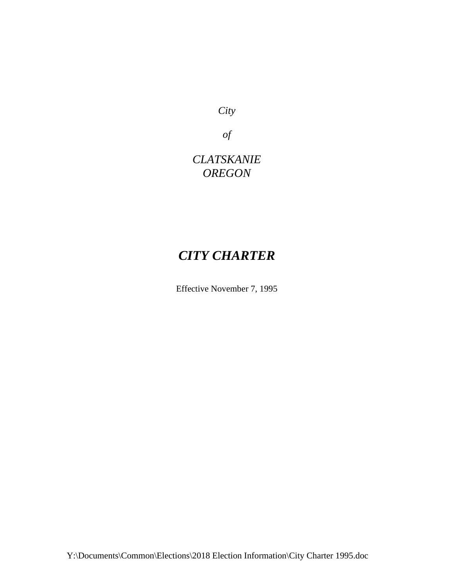*City* 

*of*

*CLATSKANIE OREGON*

# *CITY CHARTER*

Effective November 7, 1995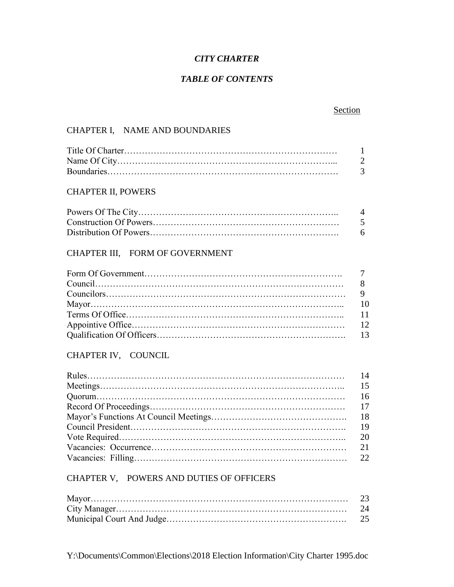### *CITY CHARTER*

### *TABLE OF CONTENTS*

### Section

### CHAPTER I, NAME AND BOUNDARIES

### CHAPTER II, POWERS

| $\overline{4}$ |
|----------------|
| $\sqrt{5}$     |
| - 6            |

### CHAPTER III, FORM OF GOVERNMENT

### CHAPTER IV, COUNCIL

### CHAPTER V, POWERS AND DUTIES OF OFFICERS

| 23 |
|----|
|    |
|    |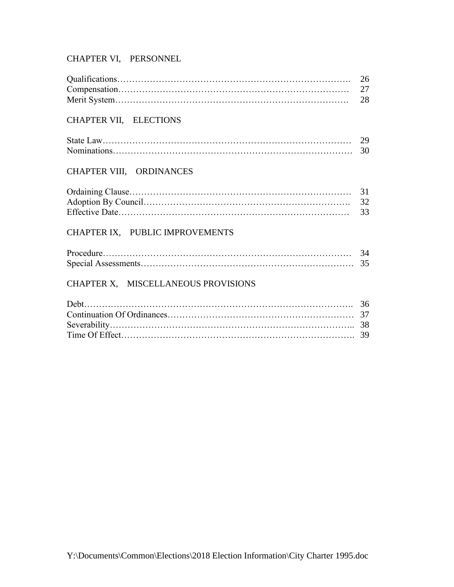### CHAPTER VI, PERSONNEL

### CHAPTER VII, ELECTIONS

### CHAPTER VIII, ORDINANCES

### CHAPTER IX, PUBLIC IMPROVEMENTS

### CHAPTER X, MISCELLANEOUS PROVISIONS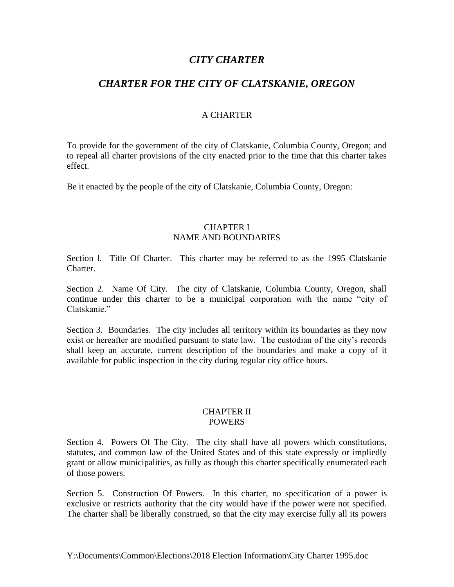### *CITY CHARTER*

### *CHARTER FOR THE CITY OF CLATSKANIE, OREGON*

### A CHARTER

To provide for the government of the city of Clatskanie, Columbia County, Oregon; and to repeal all charter provisions of the city enacted prior to the time that this charter takes effect.

Be it enacted by the people of the city of Clatskanie, Columbia County, Oregon:

### CHAPTER I NAME AND BOUNDARIES

Section l. Title Of Charter. This charter may be referred to as the 1995 Clatskanie Charter.

Section 2. Name Of City. The city of Clatskanie, Columbia County, Oregon, shall continue under this charter to be a municipal corporation with the name "city of Clatskanie."

Section 3. Boundaries. The city includes all territory within its boundaries as they now exist or hereafter are modified pursuant to state law. The custodian of the city's records shall keep an accurate, current description of the boundaries and make a copy of it available for public inspection in the city during regular city office hours.

#### CHAPTER II POWERS

Section 4. Powers Of The City. The city shall have all powers which constitutions, statutes, and common law of the United States and of this state expressly or impliedly grant or allow municipalities, as fully as though this charter specifically enumerated each of those powers.

Section 5. Construction Of Powers. In this charter, no specification of a power is exclusive or restricts authority that the city would have if the power were not specified. The charter shall be liberally construed, so that the city may exercise fully all its powers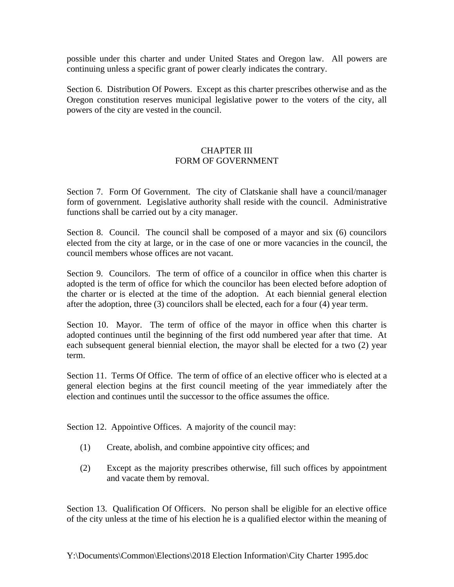possible under this charter and under United States and Oregon law. All powers are continuing unless a specific grant of power clearly indicates the contrary.

Section 6. Distribution Of Powers. Except as this charter prescribes otherwise and as the Oregon constitution reserves municipal legislative power to the voters of the city, all powers of the city are vested in the council.

### CHAPTER III FORM OF GOVERNMENT

Section 7. Form Of Government. The city of Clatskanie shall have a council/manager form of government. Legislative authority shall reside with the council. Administrative functions shall be carried out by a city manager.

Section 8. Council. The council shall be composed of a mayor and six (6) councilors elected from the city at large, or in the case of one or more vacancies in the council, the council members whose offices are not vacant.

Section 9. Councilors. The term of office of a councilor in office when this charter is adopted is the term of office for which the councilor has been elected before adoption of the charter or is elected at the time of the adoption. At each biennial general election after the adoption, three (3) councilors shall be elected, each for a four (4) year term.

Section 10. Mayor. The term of office of the mayor in office when this charter is adopted continues until the beginning of the first odd numbered year after that time. At each subsequent general biennial election, the mayor shall be elected for a two (2) year term.

Section 11. Terms Of Office. The term of office of an elective officer who is elected at a general election begins at the first council meeting of the year immediately after the election and continues until the successor to the office assumes the office.

Section 12. Appointive Offices. A majority of the council may:

- (1) Create, abolish, and combine appointive city offices; and
- (2) Except as the majority prescribes otherwise, fill such offices by appointment and vacate them by removal.

Section 13. Qualification Of Officers. No person shall be eligible for an elective office of the city unless at the time of his election he is a qualified elector within the meaning of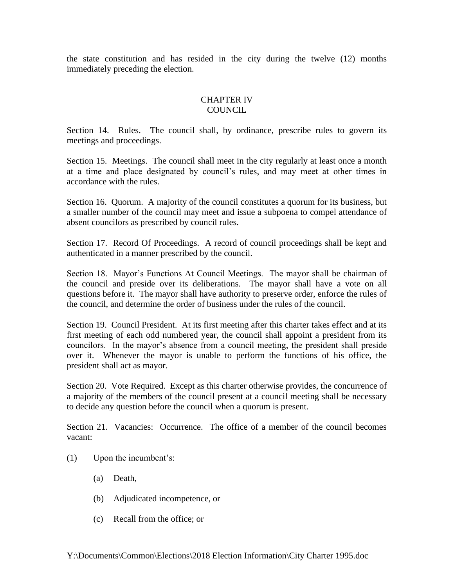the state constitution and has resided in the city during the twelve (12) months immediately preceding the election.

### CHAPTER IV COUNCIL

Section 14. Rules. The council shall, by ordinance, prescribe rules to govern its meetings and proceedings.

Section 15. Meetings. The council shall meet in the city regularly at least once a month at a time and place designated by council's rules, and may meet at other times in accordance with the rules.

Section 16. Quorum. A majority of the council constitutes a quorum for its business, but a smaller number of the council may meet and issue a subpoena to compel attendance of absent councilors as prescribed by council rules.

Section 17. Record Of Proceedings. A record of council proceedings shall be kept and authenticated in a manner prescribed by the council.

Section 18. Mayor's Functions At Council Meetings. The mayor shall be chairman of the council and preside over its deliberations. The mayor shall have a vote on all questions before it. The mayor shall have authority to preserve order, enforce the rules of the council, and determine the order of business under the rules of the council.

Section 19. Council President. At its first meeting after this charter takes effect and at its first meeting of each odd numbered year, the council shall appoint a president from its councilors. In the mayor's absence from a council meeting, the president shall preside over it. Whenever the mayor is unable to perform the functions of his office, the president shall act as mayor.

Section 20. Vote Required. Except as this charter otherwise provides, the concurrence of a majority of the members of the council present at a council meeting shall be necessary to decide any question before the council when a quorum is present.

Section 21. Vacancies: Occurrence. The office of a member of the council becomes vacant:

- (1) Upon the incumbent's:
	- (a) Death,
	- (b) Adjudicated incompetence, or
	- (c) Recall from the office; or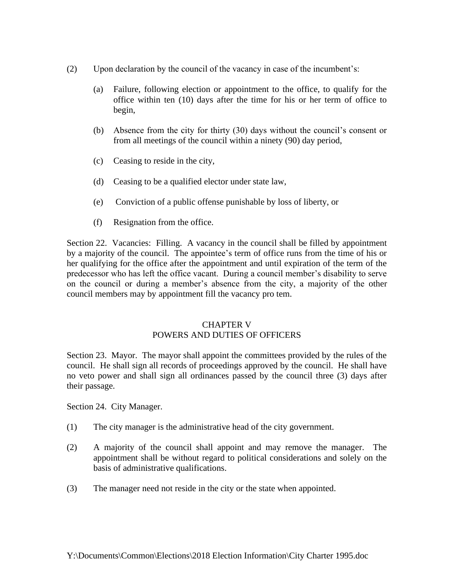- (2) Upon declaration by the council of the vacancy in case of the incumbent's:
	- (a) Failure, following election or appointment to the office, to qualify for the office within ten (10) days after the time for his or her term of office to begin,
	- (b) Absence from the city for thirty (30) days without the council's consent or from all meetings of the council within a ninety (90) day period,
	- (c) Ceasing to reside in the city,
	- (d) Ceasing to be a qualified elector under state law,
	- (e) Conviction of a public offense punishable by loss of liberty, or
	- (f) Resignation from the office.

Section 22. Vacancies: Filling. A vacancy in the council shall be filled by appointment by a majority of the council. The appointee's term of office runs from the time of his or her qualifying for the office after the appointment and until expiration of the term of the predecessor who has left the office vacant. During a council member's disability to serve on the council or during a member's absence from the city, a majority of the other council members may by appointment fill the vacancy pro tem.

## CHAPTER V

### POWERS AND DUTIES OF OFFICERS

Section 23. Mayor. The mayor shall appoint the committees provided by the rules of the council. He shall sign all records of proceedings approved by the council. He shall have no veto power and shall sign all ordinances passed by the council three (3) days after their passage.

Section 24. City Manager.

- (1) The city manager is the administrative head of the city government.
- (2) A majority of the council shall appoint and may remove the manager. The appointment shall be without regard to political considerations and solely on the basis of administrative qualifications.
- (3) The manager need not reside in the city or the state when appointed.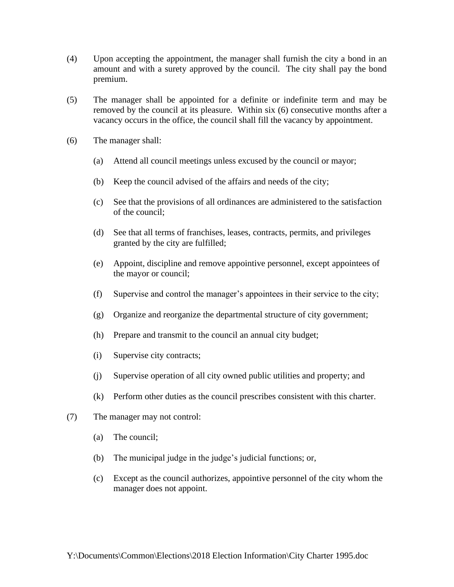- (4) Upon accepting the appointment, the manager shall furnish the city a bond in an amount and with a surety approved by the council. The city shall pay the bond premium.
- (5) The manager shall be appointed for a definite or indefinite term and may be removed by the council at its pleasure. Within six (6) consecutive months after a vacancy occurs in the office, the council shall fill the vacancy by appointment.
- (6) The manager shall:
	- (a) Attend all council meetings unless excused by the council or mayor;
	- (b) Keep the council advised of the affairs and needs of the city;
	- (c) See that the provisions of all ordinances are administered to the satisfaction of the council;
	- (d) See that all terms of franchises, leases, contracts, permits, and privileges granted by the city are fulfilled;
	- (e) Appoint, discipline and remove appointive personnel, except appointees of the mayor or council;
	- (f) Supervise and control the manager's appointees in their service to the city;
	- (g) Organize and reorganize the departmental structure of city government;
	- (h) Prepare and transmit to the council an annual city budget;
	- (i) Supervise city contracts;
	- (j) Supervise operation of all city owned public utilities and property; and
	- (k) Perform other duties as the council prescribes consistent with this charter.
- (7) The manager may not control:
	- (a) The council;
	- (b) The municipal judge in the judge's judicial functions; or,
	- (c) Except as the council authorizes, appointive personnel of the city whom the manager does not appoint.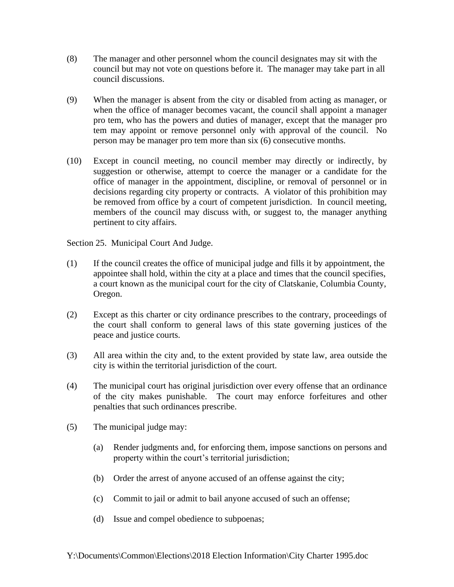- (8) The manager and other personnel whom the council designates may sit with the council but may not vote on questions before it. The manager may take part in all council discussions.
- (9) When the manager is absent from the city or disabled from acting as manager, or when the office of manager becomes vacant, the council shall appoint a manager pro tem, who has the powers and duties of manager, except that the manager pro tem may appoint or remove personnel only with approval of the council. No person may be manager pro tem more than six (6) consecutive months.
- (10) Except in council meeting, no council member may directly or indirectly, by suggestion or otherwise, attempt to coerce the manager or a candidate for the office of manager in the appointment, discipline, or removal of personnel or in decisions regarding city property or contracts. A violator of this prohibition may be removed from office by a court of competent jurisdiction. In council meeting, members of the council may discuss with, or suggest to, the manager anything pertinent to city affairs.

Section 25. Municipal Court And Judge.

- (1) If the council creates the office of municipal judge and fills it by appointment, the appointee shall hold, within the city at a place and times that the council specifies, a court known as the municipal court for the city of Clatskanie, Columbia County, Oregon.
- (2) Except as this charter or city ordinance prescribes to the contrary, proceedings of the court shall conform to general laws of this state governing justices of the peace and justice courts.
- (3) All area within the city and, to the extent provided by state law, area outside the city is within the territorial jurisdiction of the court.
- (4) The municipal court has original jurisdiction over every offense that an ordinance of the city makes punishable. The court may enforce forfeitures and other penalties that such ordinances prescribe.
- (5) The municipal judge may:
	- (a) Render judgments and, for enforcing them, impose sanctions on persons and property within the court's territorial jurisdiction;
	- (b) Order the arrest of anyone accused of an offense against the city;
	- (c) Commit to jail or admit to bail anyone accused of such an offense;
	- (d) Issue and compel obedience to subpoenas;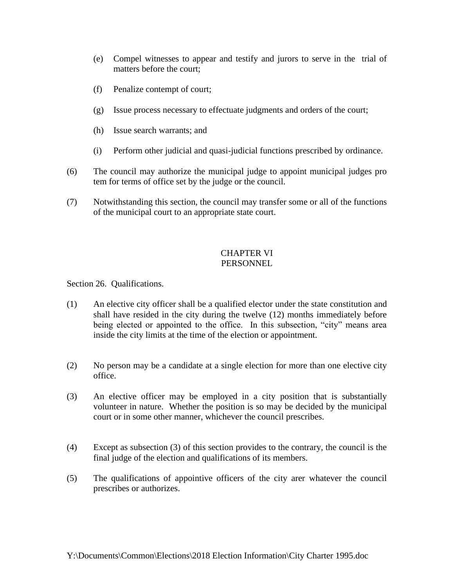- (e) Compel witnesses to appear and testify and jurors to serve in the trial of matters before the court;
- (f) Penalize contempt of court;
- (g) Issue process necessary to effectuate judgments and orders of the court;
- (h) Issue search warrants; and
- (i) Perform other judicial and quasi-judicial functions prescribed by ordinance.
- (6) The council may authorize the municipal judge to appoint municipal judges pro tem for terms of office set by the judge or the council.
- (7) Notwithstanding this section, the council may transfer some or all of the functions of the municipal court to an appropriate state court.

### CHAPTER VI **PERSONNEL**

Section 26. Qualifications.

- (1) An elective city officer shall be a qualified elector under the state constitution and shall have resided in the city during the twelve (12) months immediately before being elected or appointed to the office. In this subsection, "city" means area inside the city limits at the time of the election or appointment.
- (2) No person may be a candidate at a single election for more than one elective city office.
- (3) An elective officer may be employed in a city position that is substantially volunteer in nature. Whether the position is so may be decided by the municipal court or in some other manner, whichever the council prescribes.
- (4) Except as subsection (3) of this section provides to the contrary, the council is the final judge of the election and qualifications of its members.
- (5) The qualifications of appointive officers of the city arer whatever the council prescribes or authorizes.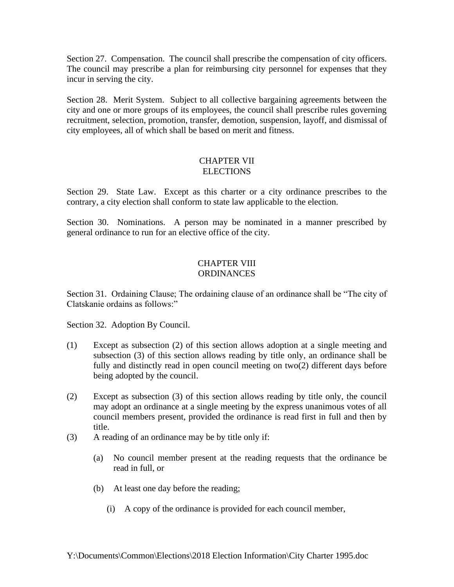Section 27. Compensation. The council shall prescribe the compensation of city officers. The council may prescribe a plan for reimbursing city personnel for expenses that they incur in serving the city.

Section 28. Merit System. Subject to all collective bargaining agreements between the city and one or more groups of its employees, the council shall prescribe rules governing recruitment, selection, promotion, transfer, demotion, suspension, layoff, and dismissal of city employees, all of which shall be based on merit and fitness.

### CHAPTER VII **ELECTIONS**

Section 29. State Law. Except as this charter or a city ordinance prescribes to the contrary, a city election shall conform to state law applicable to the election.

Section 30. Nominations. A person may be nominated in a manner prescribed by general ordinance to run for an elective office of the city.

### CHAPTER VIII ORDINANCES

Section 31. Ordaining Clause; The ordaining clause of an ordinance shall be "The city of Clatskanie ordains as follows:"

Section 32. Adoption By Council.

- (1) Except as subsection (2) of this section allows adoption at a single meeting and subsection (3) of this section allows reading by title only, an ordinance shall be fully and distinctly read in open council meeting on two(2) different days before being adopted by the council.
- (2) Except as subsection (3) of this section allows reading by title only, the council may adopt an ordinance at a single meeting by the express unanimous votes of all council members present, provided the ordinance is read first in full and then by title.
- (3) A reading of an ordinance may be by title only if:
	- (a) No council member present at the reading requests that the ordinance be read in full, or
	- (b) At least one day before the reading;
		- (i) A copy of the ordinance is provided for each council member,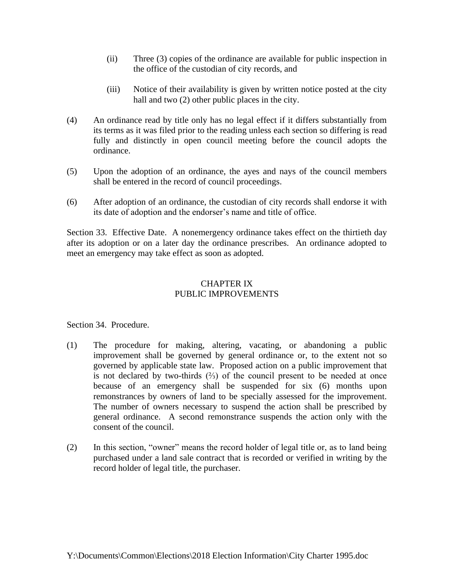- (ii) Three (3) copies of the ordinance are available for public inspection in the office of the custodian of city records, and
- (iii) Notice of their availability is given by written notice posted at the city hall and two (2) other public places in the city.
- (4) An ordinance read by title only has no legal effect if it differs substantially from its terms as it was filed prior to the reading unless each section so differing is read fully and distinctly in open council meeting before the council adopts the ordinance.
- (5) Upon the adoption of an ordinance, the ayes and nays of the council members shall be entered in the record of council proceedings.
- (6) After adoption of an ordinance, the custodian of city records shall endorse it with its date of adoption and the endorser's name and title of office.

Section 33. Effective Date. A nonemergency ordinance takes effect on the thirtieth day after its adoption or on a later day the ordinance prescribes. An ordinance adopted to meet an emergency may take effect as soon as adopted.

### CHAPTER IX PUBLIC IMPROVEMENTS

Section 34. Procedure.

- (1) The procedure for making, altering, vacating, or abandoning a public improvement shall be governed by general ordinance or, to the extent not so governed by applicable state law. Proposed action on a public improvement that is not declared by two-thirds  $(½)$  of the council present to be needed at once because of an emergency shall be suspended for six (6) months upon remonstrances by owners of land to be specially assessed for the improvement. The number of owners necessary to suspend the action shall be prescribed by general ordinance. A second remonstrance suspends the action only with the consent of the council.
- (2) In this section, "owner" means the record holder of legal title or, as to land being purchased under a land sale contract that is recorded or verified in writing by the record holder of legal title, the purchaser.